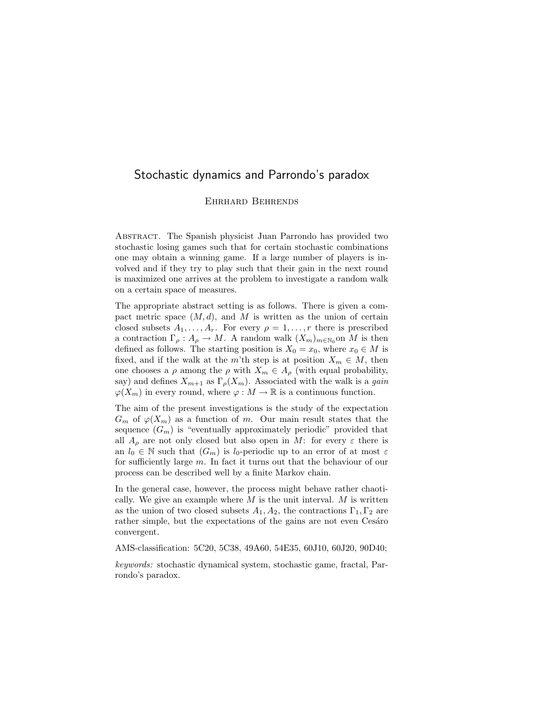# Stochastic dynamics and Parrondo's paradox

Ehrhard Behrends

Abstract. The Spanish physicist Juan Parrondo has provided two stochastic losing games such that for certain stochastic combinations one may obtain a winning game. If a large number of players is involved and if they try to play such that their gain in the next round is maximized one arrives at the problem to investigate a random walk on a certain space of measures.

The appropriate abstract setting is as follows. There is given a compact metric space  $(M, d)$ , and M is written as the union of certain closed subsets  $A_1, \ldots, A_r$ . For every  $\rho = 1, \ldots, r$  there is prescribed a contraction  $\Gamma_{\rho}: A_{\rho} \to M$ . A random walk  $(X_m)_{m \in \mathbb{N}_0}$  on M is then defined as follows. The starting position is  $X_0 = x_0$ , where  $x_0 \in M$  is fixed, and if the walk at the m'th step is at position  $X_m \in M$ , then one chooses a  $\rho$  among the  $\rho$  with  $X_m \in A_\rho$  (with equal probability, say) and defines  $X_{m+1}$  as  $\Gamma_{\rho}(X_m)$ . Associated with the walk is a gain  $\varphi(X_m)$  in every round, where  $\varphi: M \to \mathbb{R}$  is a continuous function.

The aim of the present investigations is the study of the expectation  $G_m$  of  $\varphi(X_m)$  as a function of m. Our main result states that the sequence  $(G_m)$  is "eventually approximately periodic" provided that all  $A_{\rho}$  are not only closed but also open in M: for every  $\varepsilon$  there is an  $l_0 \in \mathbb{N}$  such that  $(G_m)$  is  $l_0$ -periodic up to an error of at most  $\varepsilon$ for sufficiently large m. In fact it turns out that the behaviour of our process can be described well by a finite Markov chain.

In the general case, however, the process might behave rather chaotically. We give an example where  $M$  is the unit interval.  $M$  is written as the union of two closed subsets  $A_1, A_2$ , the contractions  $\Gamma_1, \Gamma_2$  are rather simple, but the expectations of the gains are not even Cesáro convergent.

AMS-classification: 5C20, 5C38, 49A60, 54E35, 60J10, 60J20, 90D40;

keywords: stochastic dynamical system, stochastic game, fractal, Parrondo's paradox.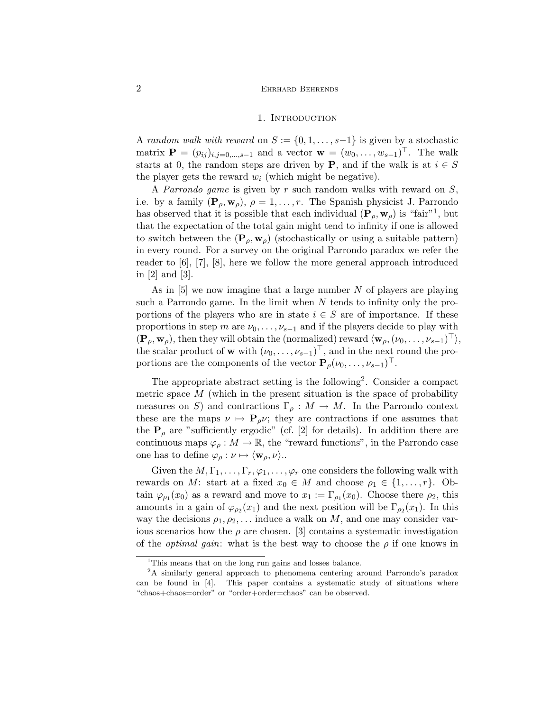### 1. Introduction

A random walk with reward on  $S := \{0, 1, \ldots, s-1\}$  is given by a stochastic matrix  $\mathbf{P} = (p_{ij})_{i,j=0,\dots,s-1}$  and a vector  $\mathbf{w} = (w_0,\dots,w_{s-1})^\top$ . The walk starts at 0, the random steps are driven by **P**, and if the walk is at  $i \in S$ the player gets the reward  $w_i$  (which might be negative).

A Parrondo game is given by r such random walks with reward on S, i.e. by a family  $(\mathbf{P}_{\rho}, \mathbf{w}_{\rho}), \rho = 1, \ldots, r$ . The Spanish physicist J. Parrondo has observed that it is possible that each individual  $(\mathbf{P}_{\rho}, \mathbf{w}_{\rho})$  is "fair"<sup>1</sup>, but that the expectation of the total gain might tend to infinity if one is allowed to switch between the  $(\mathbf{P}_{\rho}, \mathbf{w}_{\rho})$  (stochastically or using a suitable pattern) in every round. For a survey on the original Parrondo paradox we refer the reader to [6], [7], [8], here we follow the more general approach introduced in [2] and [3].

As in  $[5]$  we now imagine that a large number N of players are playing such a Parrondo game. In the limit when N tends to infinity only the proportions of the players who are in state  $i \in S$  are of importance. If these proportions in step m are  $\nu_0, \ldots, \nu_{s-1}$  and if the players decide to play with  $(\mathbf{P}_{\rho}, \mathbf{w}_{\rho}),$  then they will obtain the (normalized) reward  $\langle \mathbf{w}_{\rho}, (\nu_0, \ldots, \nu_{s-1})^{\top} \rangle$ , the scalar product of **w** with  $(\nu_0, \ldots, \nu_{s-1})^\top$ , and in the next round the proportions are the components of the vector  $\mathbf{P}_{\rho}(\nu_0, \ldots, \nu_{s-1})^{\top}$ .

The appropriate abstract setting is the following<sup>2</sup>. Consider a compact metric space  $M$  (which in the present situation is the space of probability measures on S) and contractions  $\Gamma_{\rho}: M \to M$ . In the Parrondo context these are the maps  $\nu \mapsto \mathbf{P}_{\rho} \nu$ ; they are contractions if one assumes that the  $P_{\rho}$  are "sufficiently ergodic" (cf. [2] for details). In addition there are continuous maps  $\varphi_{\rho}: M \to \mathbb{R}$ , the "reward functions", in the Parrondo case one has to define  $\varphi_{\rho} : \nu \mapsto \langle \mathbf{w}_{\rho}, \nu \rangle$ ..

Given the  $M, \Gamma_1, \ldots, \Gamma_r, \varphi_1, \ldots, \varphi_r$  one considers the following walk with rewards on M: start at a fixed  $x_0 \in M$  and choose  $\rho_1 \in \{1, \ldots, r\}$ . Obtain  $\varphi_{\rho_1}(x_0)$  as a reward and move to  $x_1 := \Gamma_{\rho_1}(x_0)$ . Choose there  $\rho_2$ , this amounts in a gain of  $\varphi_{\rho_2}(x_1)$  and the next position will be  $\Gamma_{\rho_2}(x_1)$ . In this way the decisions  $\rho_1, \rho_2, \ldots$  induce a walk on M, and one may consider various scenarios how the  $\rho$  are chosen. [3] contains a systematic investigation of the *optimal gain*: what is the best way to choose the  $\rho$  if one knows in

<sup>&</sup>lt;sup>1</sup>This means that on the long run gains and losses balance.

<sup>2</sup>A similarly general approach to phenomena centering around Parrondo's paradox can be found in [4]. This paper contains a systematic study of situations where "chaos+chaos=order" or "order+order=chaos" can be observed.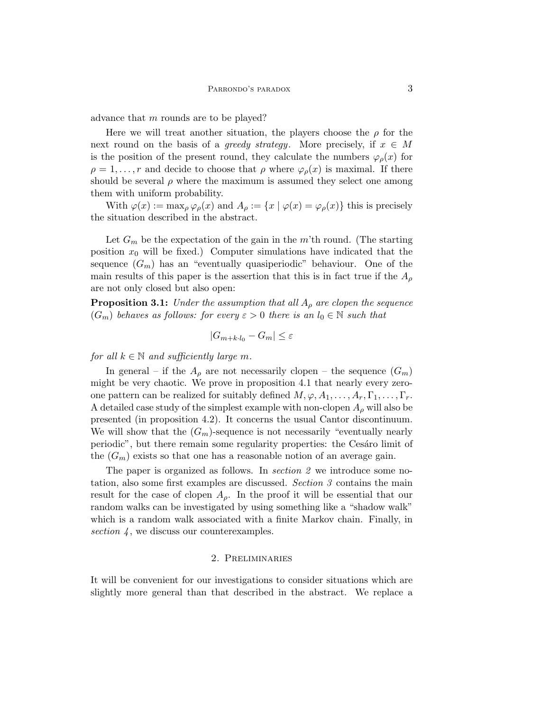advance that m rounds are to be played?

Here we will treat another situation, the players choose the  $\rho$  for the next round on the basis of a *greedy strategy*. More precisely, if  $x \in M$ is the position of the present round, they calculate the numbers  $\varphi_{\rho}(x)$  for  $\rho = 1, \ldots, r$  and decide to choose that  $\rho$  where  $\varphi_{\rho}(x)$  is maximal. If there should be several  $\rho$  where the maximum is assumed they select one among them with uniform probability.

With  $\varphi(x) := \max_{\rho} \varphi_{\rho}(x)$  and  $A_{\rho} := \{x \mid \varphi(x) = \varphi_{\rho}(x)\}\$  this is precisely the situation described in the abstract.

Let  $G_m$  be the expectation of the gain in the m'th round. (The starting position  $x_0$  will be fixed.) Computer simulations have indicated that the sequence  $(G_m)$  has an "eventually quasiperiodic" behaviour. One of the main results of this paper is the assertion that this is in fact true if the  $A_{\rho}$ are not only closed but also open:

**Proposition 3.1:** Under the assumption that all  $A_{\rho}$  are clopen the sequence  $(G_m)$  behaves as follows: for every  $\varepsilon > 0$  there is an  $l_0 \in \mathbb{N}$  such that

$$
|G_{m+k\cdot l_0} - G_m| \le \varepsilon
$$

for all  $k \in \mathbb{N}$  and sufficiently large m.

In general – if the  $A_{\rho}$  are not necessarily clopen – the sequence  $(G_m)$ might be very chaotic. We prove in proposition 4.1 that nearly every zeroone pattern can be realized for suitably defined  $M, \varphi, A_1, \ldots, A_r, \Gamma_1, \ldots, \Gamma_r$ . A detailed case study of the simplest example with non-clopen  $A_\rho$  will also be presented (in proposition 4.2). It concerns the usual Cantor discontinuum. We will show that the  $(G_m)$ -sequence is not necessarily "eventually nearly" periodic", but there remain some regularity properties: the Cesaro limit of the  $(G_m)$  exists so that one has a reasonable notion of an average gain.

The paper is organized as follows. In *section 2* we introduce some notation, also some first examples are discussed. Section 3 contains the main result for the case of clopen  $A_{\rho}$ . In the proof it will be essential that our random walks can be investigated by using something like a "shadow walk" which is a random walk associated with a finite Markov chain. Finally, in section  $\lambda$ , we discuss our counterexamples.

## 2. Preliminaries

It will be convenient for our investigations to consider situations which are slightly more general than that described in the abstract. We replace a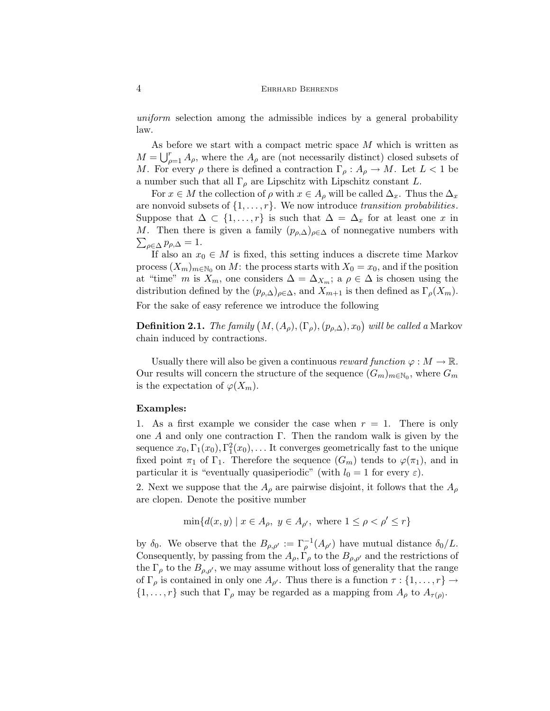uniform selection among the admissible indices by a general probability law.

As before we start with a compact metric space M which is written as  $M = \bigcup_{\rho=1}^r A_\rho$ , where the  $A_\rho$  are (not necessarily distinct) closed subsets of M. For every  $\rho$  there is defined a contraction  $\Gamma_{\rho}: A_{\rho} \to M$ . Let  $L < 1$  be a number such that all  $\Gamma_{\rho}$  are Lipschitz with Lipschitz constant L.

For  $x \in M$  the collection of  $\rho$  with  $x \in A_\rho$  will be called  $\Delta_x$ . Thus the  $\Delta_x$ are nonvoid subsets of  $\{1, \ldots, r\}$ . We now introduce transition probabilities. Suppose that  $\Delta \subset \{1, \ldots, r\}$  is such that  $\Delta = \Delta_x$  for at least one x in  $\sum_{\rho \in \Delta} p_{\rho, \Delta} = 1.$ M. Then there is given a family  $(p_{\rho,\Delta})_{\rho \in \Delta}$  of nonnegative numbers with

If also an  $x_0 \in M$  is fixed, this setting induces a discrete time Markov process  $(X_m)_{m\in\mathbb{N}_0}$  on M: the process starts with  $X_0 = x_0$ , and if the position at "time" m is  $X_m$ , one considers  $\Delta = \Delta_{X_m}$ ; a  $\rho \in \Delta$  is chosen using the distribution defined by the  $(p_{\rho,\Delta})_{\rho\in\Delta}$ , and  $X_{m+1}$  is then defined as  $\Gamma_{\rho}(X_m)$ . For the sake of easy reference we introduce the following

**Definition 2.1.** The family  $(M,(A_\rho),(\Gamma_\rho), (p_{\rho,\Delta}), x_0)$  will be called a Markov chain induced by contractions.

Usually there will also be given a continuous reward function  $\varphi : M \to \mathbb{R}$ . Our results will concern the structure of the sequence  $(G_m)_{m\in\mathbb{N}_0}$ , where  $G_m$ is the expectation of  $\varphi(X_m)$ .

## Examples:

1. As a first example we consider the case when  $r = 1$ . There is only one A and only one contraction  $\Gamma$ . Then the random walk is given by the sequence  $x_0, \Gamma_1(x_0), \Gamma_1^2(x_0), \ldots$  It converges geometrically fast to the unique fixed point  $\pi_1$  of  $\Gamma_1$ . Therefore the sequence  $(G_m)$  tends to  $\varphi(\pi_1)$ , and in particular it is "eventually quasiperiodic" (with  $l_0 = 1$  for every  $\varepsilon$ ).

2. Next we suppose that the  $A_{\rho}$  are pairwise disjoint, it follows that the  $A_{\rho}$ are clopen. Denote the positive number

$$
\min\{d(x,y) \mid x \in A_{\rho}, y \in A_{\rho'}, \text{ where } 1 \leq \rho < \rho' \leq r\}
$$

by  $\delta_0$ . We observe that the  $B_{\rho,\rho'} := \Gamma_{\rho}^{-1}(A_{\rho'})$  have mutual distance  $\delta_0/L$ . Consequently, by passing from the  $A_{\rho}, \Gamma_{\rho}$  to the  $B_{\rho,\rho'}$  and the restrictions of the  $\Gamma_{\rho}$  to the  $B_{\rho,\rho'}$ , we may assume without loss of generality that the range of  $\Gamma_{\rho}$  is contained in only one  $A_{\rho'}$ . Thus there is a function  $\tau: \{1, \ldots, r\} \to$  $\{1,\ldots,r\}$  such that  $\Gamma_\rho$  may be regarded as a mapping from  $A_\rho$  to  $A_{\tau(\rho)}$ .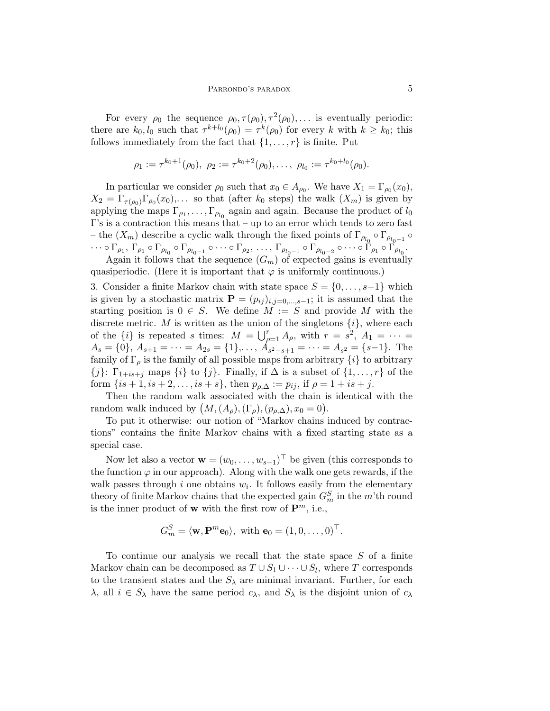For every  $\rho_0$  the sequence  $\rho_0, \tau(\rho_0), \tau^2(\rho_0), \ldots$  is eventually periodic: there are  $k_0, l_0$  such that  $\tau^{k+l_0}(\rho_0) = \tau^k(\rho_0)$  for every k with  $k \geq k_0$ ; this follows immediately from the fact that  $\{1, \ldots, r\}$  is finite. Put

$$
\rho_1 := \tau^{k_0+1}(\rho_0), \ \rho_2 := \tau^{k_0+2}(\rho_0), \ldots, \ \rho_{l_0} := \tau^{k_0+l_0}(\rho_0).
$$

In particular we consider  $\rho_0$  such that  $x_0 \in A_{\rho_0}$ . We have  $X_1 = \Gamma_{\rho_0}(x_0)$ ,  $X_2 = \Gamma_{\tau(\rho_0)} \Gamma_{\rho_0}(x_0), \ldots$  so that (after  $k_0$  steps) the walk  $(X_m)$  is given by applying the maps  $\Gamma_{\rho_1}, \ldots, \Gamma_{\rho_{l_0}}$  again and again. Because the product of  $l_0$  $\Gamma$ 's is a contraction this means that – up to an error which tends to zero fast – the  $(X_m)$  describe a cyclic walk through the fixed points of  $\Gamma_{\rho_{l_0}} \circ \Gamma_{\rho_{l_0-1}} \circ$  $\cdots \circ \Gamma_{\rho_1}, \Gamma_{\rho_1} \circ \Gamma_{\rho_{l_0}} \circ \Gamma_{\rho_{l_0-1}} \circ \cdots \circ \Gamma_{\rho_2}, \ldots, \Gamma_{\rho_{l_0-1}} \circ \Gamma_{\rho_{l_0-2}} \circ \cdots \circ \Gamma_{\rho_1} \circ \Gamma_{\rho_{l_0}}.$ 

Again it follows that the sequence  $(G_m)$  of expected gains is eventually quasiperiodic. (Here it is important that  $\varphi$  is uniformly continuous.)

3. Consider a finite Markov chain with state space  $S = \{0, \ldots, s-1\}$  which is given by a stochastic matrix  $\mathbf{P} = (p_{ij})_{i,j=0,\dots,s-1}$ ; it is assumed that the starting position is  $0 \in S$ . We define  $M := S$  and provide M with the discrete metric. M is written as the union of the singletons  $\{i\}$ , where each of the  $\{i\}$  is repeated s times:  $M = \bigcup_{\rho=1}^r A_\rho$ , with  $r = s^2$ ,  $A_1 = \cdots =$  $A_s = \{0\}, A_{s+1} = \cdots = A_{2s} = \{1\}, \ldots, A_{s^2 - s + 1} = \cdots = A_{s^2} = \{s-1\}.$  The family of  $\Gamma_{\rho}$  is the family of all possible maps from arbitrary  $\{i\}$  to arbitrary  ${j}: \Gamma_{1+is+j}$  maps  ${i}$  to  ${j}$ . Finally, if  $\Delta$  is a subset of  ${1, ..., r}$  of the form  $\{is + 1, is + 2, \ldots, is + s\}$ , then  $p_{\rho, \Delta} := p_{ij}$ , if  $\rho = 1 + is + j$ .

Then the random walk associated with the chain is identical with the random walk induced by  $(M, (A_{\rho}), (\Gamma_{\rho}), (p_{\rho,\Delta}), x_0 = 0).$ 

To put it otherwise: our notion of "Markov chains induced by contractions" contains the finite Markov chains with a fixed starting state as a special case.

Now let also a vector  $\mathbf{w} = (w_0, \dots, w_{s-1})^\top$  be given (this corresponds to the function  $\varphi$  in our approach). Along with the walk one gets rewards, if the walk passes through  $i$  one obtains  $w_i$ . It follows easily from the elementary theory of finite Markov chains that the expected gain  $G_m^S$  in the m'th round is the inner product of **w** with the first row of  $\mathbf{P}^m$ , i.e.,

$$
G_m^S = \langle \mathbf{w}, \mathbf{P}^m \mathbf{e}_0 \rangle, \text{ with } \mathbf{e}_0 = (1, 0, \dots, 0)^\top.
$$

To continue our analysis we recall that the state space S of a finite Markov chain can be decomposed as  $T \cup S_1 \cup \cdots \cup S_l$ , where T corresponds to the transient states and the  $S_{\lambda}$  are minimal invariant. Further, for each λ, all *i* ∈ S<sub>λ</sub> have the same period c<sub>λ</sub>, and S<sub>λ</sub> is the disjoint union of c<sub>λ</sub>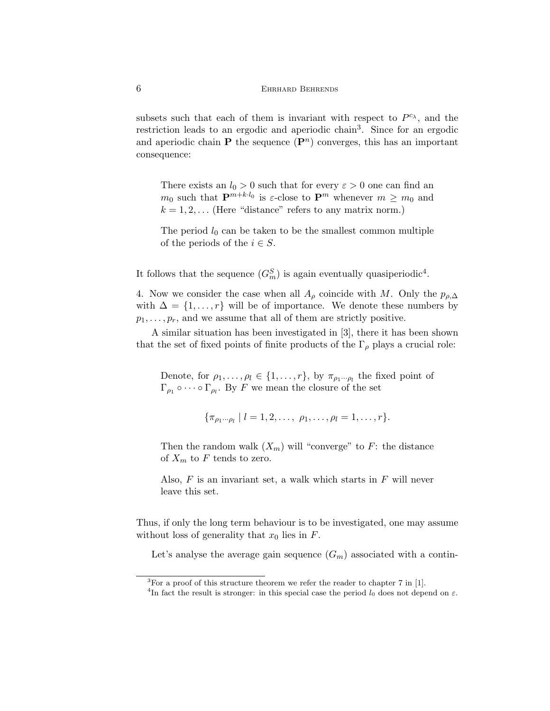subsets such that each of them is invariant with respect to  $P^{c_{\lambda}}$ , and the restriction leads to an ergodic and aperiodic chain<sup>3</sup>. Since for an ergodic and aperiodic chain **P** the sequence  $(\mathbf{P}^n)$  converges, this has an important consequence:

There exists an  $l_0 > 0$  such that for every  $\varepsilon > 0$  one can find an  $m_0$  such that  $\mathbf{P}^{m+k \cdot l_0}$  is  $\varepsilon$ -close to  $\mathbf{P}^m$  whenever  $m \geq m_0$  and  $k = 1, 2, \ldots$  (Here "distance" refers to any matrix norm.)

The period  $l_0$  can be taken to be the smallest common multiple of the periods of the  $i \in S$ .

It follows that the sequence  $(G_m^S)$  is again eventually quasiperiodic<sup>4</sup>.

4. Now we consider the case when all  $A_{\rho}$  coincide with M. Only the  $p_{\rho,\Delta}$ with  $\Delta = \{1, \ldots, r\}$  will be of importance. We denote these numbers by  $p_1, \ldots, p_r$ , and we assume that all of them are strictly positive.

A similar situation has been investigated in [3], there it has been shown that the set of fixed points of finite products of the  $\Gamma_\rho$  plays a crucial role:

Denote, for  $\rho_1, \ldots, \rho_l \in \{1, \ldots, r\}$ , by  $\pi_{\rho_1 \cdots \rho_l}$  the fixed point of  $\Gamma_{\rho_1} \circ \cdots \circ \Gamma_{\rho_l}$ . By F we mean the closure of the set

$$
\{\pi_{\rho_1\cdots\rho_l} \mid l=1,2,\ldots, \ \rho_1,\ldots,\rho_l=1,\ldots,r\}.
$$

Then the random walk  $(X_m)$  will "converge" to F: the distance of  $X_m$  to F tends to zero.

Also,  $F$  is an invariant set, a walk which starts in  $F$  will never leave this set.

Thus, if only the long term behaviour is to be investigated, one may assume without loss of generality that  $x_0$  lies in  $F$ .

Let's analyse the average gain sequence  $(G_m)$  associated with a contin-

<sup>&</sup>lt;sup>3</sup>For a proof of this structure theorem we refer the reader to chapter 7 in [1].

<sup>&</sup>lt;sup>4</sup>In fact the result is stronger: in this special case the period  $l_0$  does not depend on  $\varepsilon$ .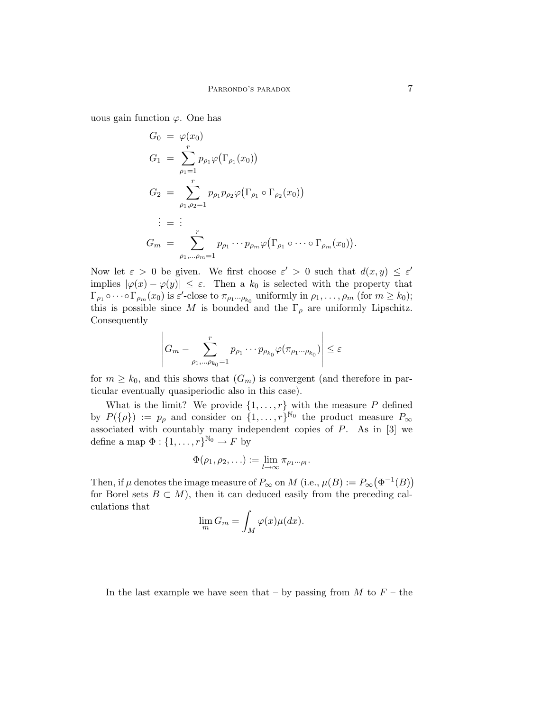uous gain function  $\varphi$ . One has

$$
G_0 = \varphi(x_0)
$$
  
\n
$$
G_1 = \sum_{\rho_1=1}^r p_{\rho_1} \varphi(\Gamma_{\rho_1}(x_0))
$$
  
\n
$$
G_2 = \sum_{\rho_1,\rho_2=1}^r p_{\rho_1} p_{\rho_2} \varphi(\Gamma_{\rho_1} \circ \Gamma_{\rho_2}(x_0))
$$
  
\n
$$
\vdots = \vdots
$$
  
\n
$$
G_m = \sum_{\rho_1,\ldots,\rho_m=1}^r p_{\rho_1} \cdots p_{\rho_m} \varphi(\Gamma_{\rho_1} \circ \cdots \circ \Gamma_{\rho_m}(x_0)).
$$

Now let  $\varepsilon > 0$  be given. We first choose  $\varepsilon' > 0$  such that  $d(x, y) \leq \varepsilon'$ implies  $|\varphi(x) - \varphi(y)| \leq \varepsilon$ . Then a  $k_0$  is selected with the property that  $\Gamma_{\rho_1} \circ \cdots \circ \Gamma_{\rho_m}(x_0)$  is  $\varepsilon'$ -close to  $\pi_{\rho_1 \cdots \rho_{k_0}}$  uniformly in  $\rho_1, \ldots, \rho_m$  (for  $m \geq k_0$ ); this is possible since M is bounded and the  $\Gamma_{\rho}$  are uniformly Lipschitz. Consequently

$$
\left| G_m - \sum_{\rho_1, \dots \rho_{k_0} = 1}^r p_{\rho_1} \cdots p_{\rho_{k_0}} \varphi(\pi_{\rho_1 \cdots \rho_{k_0}}) \right| \leq \varepsilon
$$

for  $m \geq k_0$ , and this shows that  $(G_m)$  is convergent (and therefore in particular eventually quasiperiodic also in this case).

What is the limit? We provide  $\{1, \ldots, r\}$  with the measure P defined by  $P({\rho}) := p_{\rho}$  and consider on  ${1, \ldots, r}^{\mathbb{N}_0}$  the product measure  $P_{\infty}$ associated with countably many independent copies of  $P$ . As in [3] we define a map  $\Phi: \{1, \ldots, r\}^{\mathbb{N}_0} \to F$  by

$$
\Phi(\rho_1, \rho_2, \ldots) := \lim_{l \to \infty} \pi_{\rho_1 \cdots \rho_l}.
$$

Then, if  $\mu$  denotes the image measure of  $P_{\infty}$  on M (i.e.,  $\mu(B) := P_{\infty}(\Phi^{-1}(B))$ for Borel sets  $B \subset M$ ), then it can deduced easily from the preceding calculations that

$$
\lim_{m} G_{m} = \int_{M} \varphi(x) \mu(dx).
$$

In the last example we have seen that – by passing from  $M$  to  $F$  – the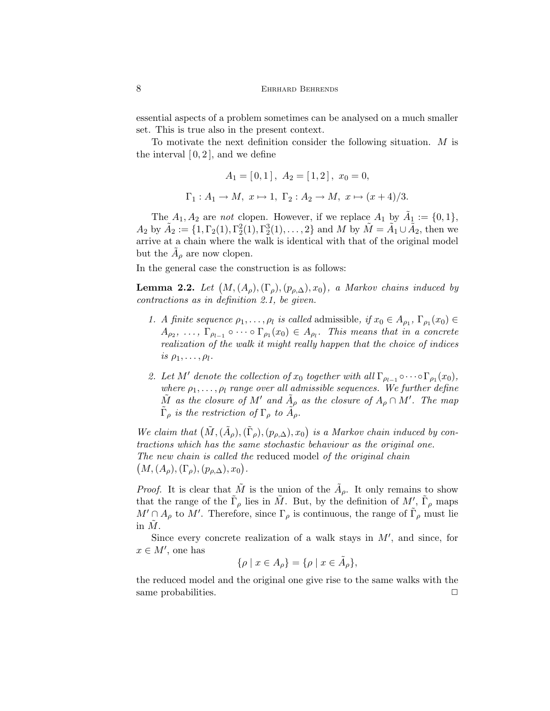essential aspects of a problem sometimes can be analysed on a much smaller set. This is true also in the present context.

To motivate the next definition consider the following situation.  $M$  is the interval  $[0, 2]$ , and we define

$$
A_1 = [0, 1], A_2 = [1, 2], x_0 = 0,
$$
  

$$
\Gamma_1: A_1 \to M, x \mapsto 1, \Gamma_2: A_2 \to M, x \mapsto (x + 4)/3.
$$

The  $A_1, A_2$  are not clopen. However, if we replace  $A_1$  by  $\tilde{A}_1 := \{0, 1\},\$  $A_2$  by  $\tilde{A}_2 := \{1, \Gamma_2(1), \Gamma_2^2(1), \Gamma_2^3(1), \ldots, 2\}$  and M by  $\tilde{M} = \tilde{A}_1 \cup \tilde{A}_2$ , then we arrive at a chain where the walk is identical with that of the original model but the  $\tilde{A}_{\rho}$  are now clopen.

In the general case the construction is as follows:

**Lemma 2.2.** Let  $(M, (A_\rho), (\Gamma_\rho), (p_{\rho,\Delta}), x_0)$ , a Markov chains induced by contractions as in definition 2.1, be given.

- 1. A finite sequence  $\rho_1, \ldots, \rho_l$  is called admissible, if  $x_0 \in A_{\rho_1}, \Gamma_{\rho_1}(x_0) \in$  $A_{\rho_2}, \ldots, \Gamma_{\rho_{l-1}} \circ \cdots \circ \Gamma_{\rho_1}(x_0) \in A_{\rho_l}$ . This means that in a concrete realization of the walk it might really happen that the choice of indices is  $\rho_1, \ldots, \rho_l$ .
- 2. Let M' denote the collection of  $x_0$  together with all  $\Gamma_{\rho_{l-1}} \circ \cdots \circ \Gamma_{\rho_1}(x_0)$ , where  $\rho_1, \ldots, \rho_l$  range over all admissible sequences. We further define  $\tilde{M}$  as the closure of  $M'$  and  $\tilde{A}_{\rho}$  as the closure of  $A_{\rho} \cap M'$ . The map  $\tilde{\Gamma}_{\rho}$  is the restriction of  $\Gamma_{\rho}$  to  $\tilde{A}_{\rho}$ .

We claim that  $(\tilde{M}, (\tilde{A}_{\rho}), (\tilde{\Gamma}_{\rho}), (p_{\rho,\Delta}), x_0)$  is a Markov chain induced by contractions which has the same stochastic behaviour as the original one. The new chain is called the reduced model of the original chain  $(M, (A_\rho), (\Gamma_\rho), (p_{\rho,\Delta}), x_0).$ 

*Proof.* It is clear that  $\tilde{M}$  is the union of the  $\tilde{A}_{\rho}$ . It only remains to show that the range of the  $\tilde{\Gamma}_{\rho}$  lies in  $\tilde{M}$ . But, by the definition of  $M'$ ,  $\tilde{\Gamma}_{\rho}$  maps  $M' \cap A_{\rho}$  to  $M'$ . Therefore, since  $\Gamma_{\rho}$  is continuous, the range of  $\tilde{\Gamma}_{\rho}$  must lie in  $M$ .

Since every concrete realization of a walk stays in  $M'$ , and since, for  $x \in M'$ , one has

$$
\{\rho \mid x \in A_{\rho}\} = \{\rho \mid x \in \tilde{A}_{\rho}\},\
$$

the reduced model and the original one give rise to the same walks with the same probabilities.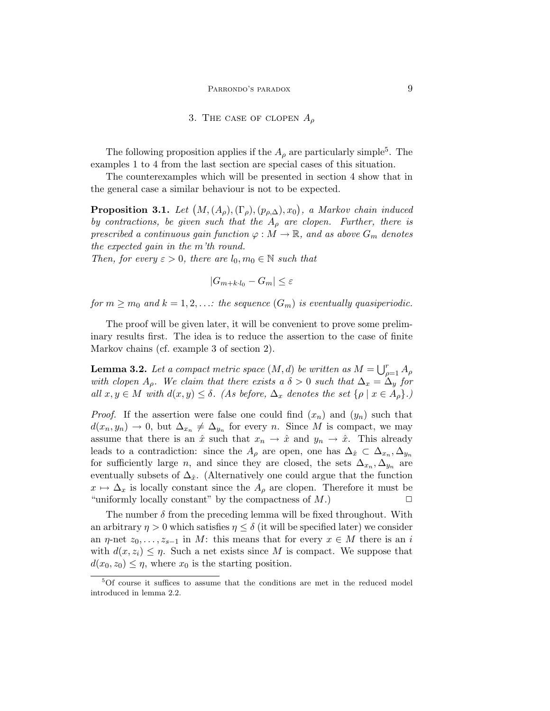### 3. THE CASE OF CLOPEN  $A_{\rho}$

The following proposition applies if the  $A_{\rho}$  are particularly simple<sup>5</sup>. The examples 1 to 4 from the last section are special cases of this situation.

The counterexamples which will be presented in section 4 show that in the general case a similar behaviour is not to be expected.

**Proposition 3.1.** Let  $(M, (A_{\rho}), (\Gamma_{\rho}), (p_{\rho,\Delta}), x_0)$ , a Markov chain induced by contractions, be given such that the  $A_{\rho}$  are clopen. Further, there is prescribed a continuous gain function  $\varphi : M \to \mathbb{R}$ , and as above  $G_m$  denotes the expected gain in the m'th round.

Then, for every  $\varepsilon > 0$ , there are  $l_0, m_0 \in \mathbb{N}$  such that

$$
|G_{m+k\cdot l_0} - G_m| \le \varepsilon
$$

for  $m \geq m_0$  and  $k = 1, 2, \ldots$ : the sequence  $(G_m)$  is eventually quasiperiodic.

The proof will be given later, it will be convenient to prove some preliminary results first. The idea is to reduce the assertion to the case of finite Markov chains (cf. example 3 of section 2).

**Lemma 3.2.** Let a compact metric space  $(M, d)$  be written as  $M = \bigcup_{\rho=1}^r A_\rho$ with clopen  $A_{\rho}$ . We claim that there exists a  $\delta > 0$  such that  $\Delta_x = \Delta_y$  for all  $x, y \in M$  with  $d(x, y) \leq \delta$ . (As before,  $\Delta_x$  denotes the set  $\{\rho \mid x \in A_\rho\}$ .)

*Proof.* If the assertion were false one could find  $(x_n)$  and  $(y_n)$  such that  $d(x_n, y_n) \to 0$ , but  $\Delta_{x_n} \neq \Delta_{y_n}$  for every n. Since M is compact, we may assume that there is an  $\hat{x}$  such that  $x_n \to \hat{x}$  and  $y_n \to \hat{x}$ . This already leads to a contradiction: since the  $A_{\rho}$  are open, one has  $\Delta_{\hat{x}} \subset \Delta_{x_n}, \Delta_{y_n}$ for sufficiently large n, and since they are closed, the sets  $\Delta_{x_n}, \Delta_{y_n}$  are eventually subsets of  $\Delta_{\hat{x}}$ . (Alternatively one could argue that the function  $x \mapsto \Delta_x$  is locally constant since the  $A_\rho$  are clopen. Therefore it must be "uniformly locally constant" by the compactness of  $M$ .)  $\Box$ 

The number  $\delta$  from the preceding lemma will be fixed throughout. With an arbitrary  $\eta > 0$  which satisfies  $\eta \leq \delta$  (it will be specified later) we consider an  $\eta$ -net  $z_0, \ldots, z_{s-1}$  in M: this means that for every  $x \in M$  there is an i with  $d(x, z_i) \leq \eta$ . Such a net exists since M is compact. We suppose that  $d(x_0, z_0) \leq \eta$ , where  $x_0$  is the starting position.

<sup>5</sup>Of course it suffices to assume that the conditions are met in the reduced model introduced in lemma 2.2.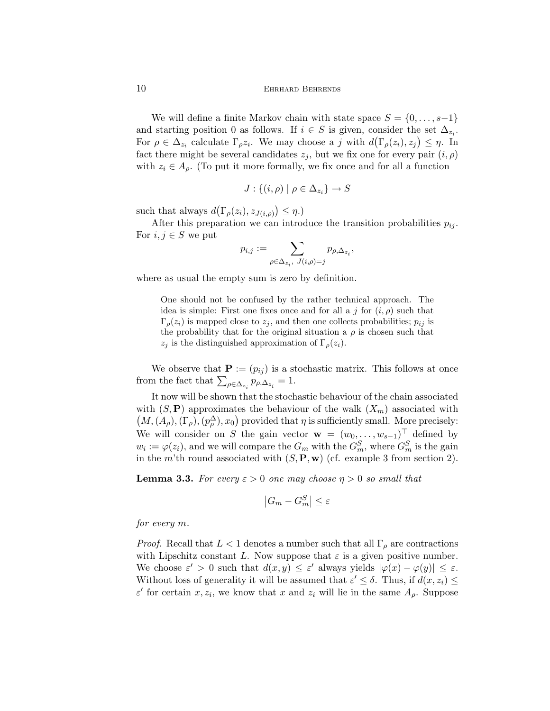We will define a finite Markov chain with state space  $S = \{0, \ldots, s-1\}$ and starting position 0 as follows. If  $i \in S$  is given, consider the set  $\Delta_{z_i}$ . For  $\rho \in \Delta_{z_i}$  calculate  $\Gamma_{\rho} z_i$ . We may choose a j with  $d(\Gamma_{\rho}(z_i), z_j) \leq \eta$ . In fact there might be several candidates  $z_i$ , but we fix one for every pair  $(i, \rho)$ with  $z_i \in A_\rho$ . (To put it more formally, we fix once and for all a function

$$
J: \{(i,\rho) \mid \rho \in \Delta_{z_i}\} \to S
$$

such that always  $d(\Gamma_\rho(z_i), z_{J(i,\rho)}) \leq \eta$ .)

After this preparation we can introduce the transition probabilities  $p_{ij}$ . For  $i, j \in S$  we put

$$
p_{i,j} := \sum_{\rho \in \Delta_{z_i}, J(i,\rho)=j} p_{\rho,\Delta_{z_i}},
$$

where as usual the empty sum is zero by definition.

One should not be confused by the rather technical approach. The idea is simple: First one fixes once and for all a j for  $(i, \rho)$  such that  $\Gamma_{\rho}(z_i)$  is mapped close to  $z_i$ , and then one collects probabilities;  $p_{ij}$  is the probability that for the original situation a  $\rho$  is chosen such that  $z_j$  is the distinguished approximation of  $\Gamma_\rho(z_i)$ .

We observe that  $\mathbf{P} := (p_{ij})$  is a stochastic matrix. This follows at once from the fact that  $\sum_{\rho \in \Delta_{z_i}} p_{\rho, \Delta_{z_i}} = 1$ .

It now will be shown that the stochastic behaviour of the chain associated with  $(S, P)$  approximates the behaviour of the walk  $(X_m)$  associated with  $(M,(A_\rho),(\Gamma_\rho),(\rho_\rho^{\Delta}),x_0)$  provided that  $\eta$  is sufficiently small. More precisely: We will consider on S the gain vector  $\mathbf{w} = (w_0, \dots, w_{s-1})^\top$  defined by  $w_i := \varphi(z_i)$ , and we will compare the  $G_m$  with the  $G_m^S$ , where  $G_m^S$  is the gain in the m'th round associated with  $(S, P, w)$  (cf. example 3 from section 2).

**Lemma 3.3.** For every  $\varepsilon > 0$  one may choose  $\eta > 0$  so small that

$$
|G_m - G_m^S| \le \varepsilon
$$

for every m.

*Proof.* Recall that  $L < 1$  denotes a number such that all  $\Gamma_\rho$  are contractions with Lipschitz constant L. Now suppose that  $\varepsilon$  is a given positive number. We choose  $\varepsilon' > 0$  such that  $d(x, y) \leq \varepsilon'$  always yields  $|\varphi(x) - \varphi(y)| \leq \varepsilon$ . Without loss of generality it will be assumed that  $\varepsilon' \leq \delta$ . Thus, if  $d(x, z_i) \leq$  $\varepsilon'$  for certain  $x, z_i$ , we know that  $x$  and  $z_i$  will lie in the same  $A_\rho$ . Suppose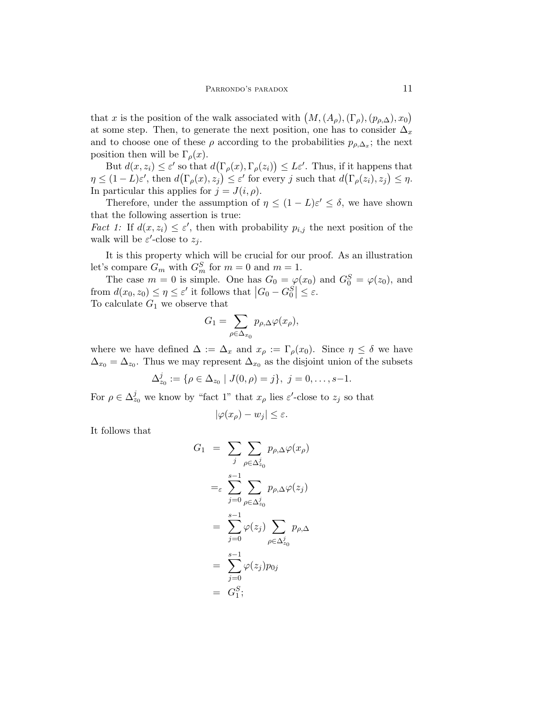that x is the position of the walk associated with  $(M,(A_{\rho}),(\Gamma_{\rho}),(p_{\rho,\Delta}),x_0)$ at some step. Then, to generate the next position, one has to consider  $\Delta_x$ and to choose one of these  $\rho$  according to the probabilities  $p_{\rho,\Delta_x}$ ; the next position then will be  $\Gamma_{\rho}(x)$ .

But  $d(x, z_i) \leq \varepsilon'$  so that  $d(\Gamma_\rho(x), \Gamma_\rho(z_i)) \leq L\varepsilon'.$  Thus, if it happens that  $\eta \leq (1-L)\varepsilon'$ , then  $d(\Gamma_\rho(x), z_j) \leq \varepsilon'$  for every j such that  $d(\Gamma_\rho(z_i), z_j) \leq \eta$ . In particular this applies for  $j = J(i, \rho)$ .

Therefore, under the assumption of  $\eta \leq (1-L)\varepsilon' \leq \delta$ , we have shown that the following assertion is true:

*Fact 1:* If  $d(x, z_i) \leq \varepsilon'$ , then with probability  $p_{i,j}$  the next position of the walk will be  $\varepsilon'$ -close to  $z_j$ .

It is this property which will be crucial for our proof. As an illustration let's compare  $G_m$  with  $G_m^S$  for  $m = 0$  and  $m = 1$ .

The case  $m = 0$  is simple. One has  $G_0 = \varphi(x_0)$  and  $G_0^S = \varphi(z_0)$ , and from  $d(x_0, z_0) \leq \eta \leq \varepsilon'$  it follows that  $|G_0 - G_0^S| \leq \varepsilon$ . To calculate  $G_1$  we observe that

$$
G_1 = \sum_{\rho \in \Delta_{x_0}} p_{\rho, \Delta} \varphi(x_\rho),
$$

where we have defined  $\Delta := \Delta_x$  and  $x_\rho := \Gamma_\rho(x_0)$ . Since  $\eta \leq \delta$  we have  $\Delta_{x_0} = \Delta_{z_0}$ . Thus we may represent  $\Delta_{x_0}$  as the disjoint union of the subsets

$$
\Delta_{z_0}^j := \{ \rho \in \Delta_{z_0} \mid J(0, \rho) = j \}, \ j = 0, \dots, s-1.
$$

For  $\rho \in \Delta_{z_0}^j$  we know by "fact 1" that  $x_\rho$  lies  $\varepsilon'$ -close to  $z_j$  so that

$$
|\varphi(x_{\rho}) - w_j| \le \varepsilon.
$$

It follows that

$$
G_1 = \sum_{j} \sum_{\rho \in \Delta_{z_0}^j} p_{\rho, \Delta} \varphi(x_{\rho})
$$
  
\n
$$
=_{\varepsilon} \sum_{j=0}^{s-1} \sum_{\rho \in \Delta_{z_0}^j} p_{\rho, \Delta} \varphi(z_j)
$$
  
\n
$$
= \sum_{j=0}^{s-1} \varphi(z_j) \sum_{\rho \in \Delta_{z_0}^j} p_{\rho, \Delta}
$$
  
\n
$$
= \sum_{j=0}^{s-1} \varphi(z_j) p_{0j}
$$
  
\n
$$
= G_1^S;
$$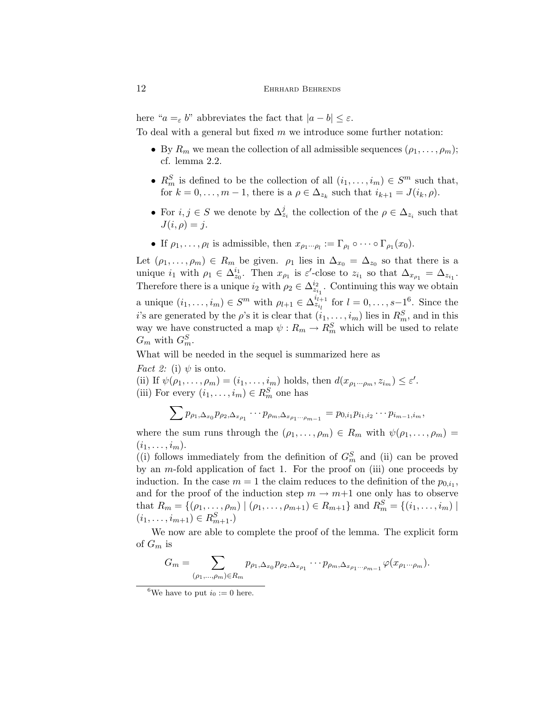here " $a = \varepsilon$  b" abbreviates the fact that  $|a - b| \leq \varepsilon$ . To deal with a general but fixed  $m$  we introduce some further notation:

- By  $R_m$  we mean the collection of all admissible sequences  $(\rho_1, \ldots, \rho_m);$ cf. lemma 2.2.
- $R_m^S$  is defined to be the collection of all  $(i_1, \ldots, i_m) \in S^m$  such that, for  $k = 0, \ldots, m - 1$ , there is a  $\rho \in \Delta_{z_k}$  such that  $i_{k+1} = J(i_k, \rho)$ .
- For  $i, j \in S$  we denote by  $\Delta_{z_i}^j$  the collection of the  $\rho \in \Delta_{z_i}$  such that  $J(i,\rho)=j.$
- If  $\rho_1, \ldots, \rho_l$  is admissible, then  $x_{\rho_1 \cdots \rho_l} := \Gamma_{\rho_l} \circ \cdots \circ \Gamma_{\rho_1}(x_0)$ .

Let  $(\rho_1, \ldots, \rho_m) \in R_m$  be given.  $\rho_1$  lies in  $\Delta_{x_0} = \Delta_{z_0}$  so that there is a unique  $i_1$  with  $\rho_1 \in \Delta_{z_0}^{i_1}$ . Then  $x_{\rho_1}$  is  $\varepsilon'$ -close to  $z_{i_1}$  so that  $\Delta_{x_{\rho_1}} = \Delta_{z_{i_1}}$ . Therefore there is a unique  $i_2$  with  $\rho_2 \in \Delta_{z_{i_1}}^{i_2}$ . Continuing this way we obtain a unique  $(i_1, \ldots, i_m) \in S^m$  with  $\rho_{l+1} \in \Delta_{z_{i_l}}^{i_{l+1}}$  for  $l = 0, \ldots, s-1^6$ . Since the i's are generated by the  $\rho$ 's it is clear that  $(i_1, \ldots, i_m)$  lies in  $R_m^S$ , and in this way we have constructed a map  $\psi: R_m \to R_m^S$  which will be used to relate  $G_m$  with  $G_m^S$ .

What will be needed in the sequel is summarized here as

*Fact 2:* (i)  $\psi$  is onto.

(ii) If  $\psi(\rho_1,\ldots,\rho_m)=(i_1,\ldots,i_m)$  holds, then  $d(x_{\rho_1\cdots\rho_m},z_{i_m})\leq \varepsilon'.$ (iii) For every  $(i_1, \ldots, i_m) \in R_m^S$  one has

$$
\sum_{\nu_{\rho_1,\Delta_{x_0}} p_{\rho_2,\Delta_{x_{\rho_1}}}\cdots p_{\rho_m,\Delta_{x_{\rho_1}\cdots\rho_{m-1}}}=p_{0,i_1}p_{i_1,i_2}\cdots p_{i_{m-1},i_m},
$$

where the sum runs through the  $(\rho_1, \ldots, \rho_m) \in R_m$  with  $\psi(\rho_1, \ldots, \rho_m) =$  $(i_1,\ldots,i_m).$ 

((i) follows immediately from the definition of  $G_m^S$  and (ii) can be proved by an m-fold application of fact 1. For the proof on (iii) one proceeds by induction. In the case  $m = 1$  the claim reduces to the definition of the  $p_{0,i_1}$ , and for the proof of the induction step  $m \to m+1$  one only has to observe that  $R_m = \{(\rho_1, \ldots, \rho_m) | (\rho_1, \ldots, \rho_{m+1}) \in R_{m+1}\}\$ and  $R_m^S = \{(i_1, \ldots, i_m) |$  $(i_1, \ldots, i_{m+1}) \in R_{m+1}^S$ .

We now are able to complete the proof of the lemma. The explicit form of  $G_m$  is

$$
G_m = \sum_{(\rho_1,\ldots,\rho_m)\in R_m} p_{\rho_1,\Delta_{x_0}} p_{\rho_2,\Delta_{x_{\rho_1}}} \cdots p_{\rho_m,\Delta_{x_{\rho_1}\cdots\rho_{m-1}}} \varphi(x_{\rho_1\cdots\rho_m}).
$$

<sup>&</sup>lt;sup>6</sup>We have to put  $i_0 := 0$  here.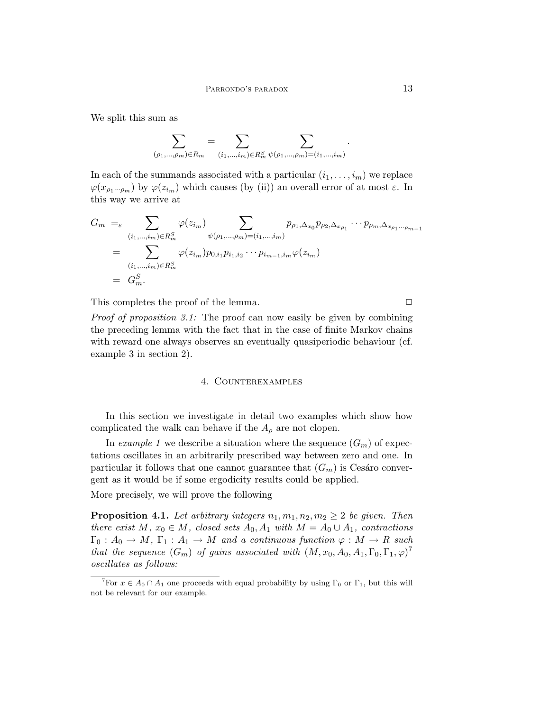We split this sum as

$$
\sum_{(\rho_1,\ldots,\rho_m)\in R_m} = \sum_{(i_1,\ldots,i_m)\in R_m^S} \sum_{\psi(\rho_1,\ldots,\rho_m)=(i_1,\ldots,i_m)}
$$

In each of the summands associated with a particular  $(i_1, \ldots, i_m)$  we replace  $\varphi(x_{\rho_1\cdots\rho_m})$  by  $\varphi(z_{i_m})$  which causes (by (ii)) an overall error of at most  $\varepsilon$ . In this way we arrive at

$$
G_m =_{\varepsilon} \sum_{(i_1, ..., i_m) \in R_m^S} \varphi(z_{i_m}) \sum_{\psi(\rho_1, ..., \rho_m) = (i_1, ..., i_m)} p_{\rho_1, \Delta_{x_0}} p_{\rho_2, \Delta_{x_{\rho_1}}} \cdots p_{\rho_m, \Delta_{x_{\rho_1} \cdots \rho_{m-1}}}
$$
  
= 
$$
\sum_{(i_1, ..., i_m) \in R_m^S} \varphi(z_{i_m}) p_{0, i_1} p_{i_1, i_2} \cdots p_{i_{m-1}, i_m} \varphi(z_{i_m})
$$
  
= 
$$
G_m^S.
$$

This completes the proof of the lemma.  $\Box$ 

Proof of proposition 3.1: The proof can now easily be given by combining the preceding lemma with the fact that in the case of finite Markov chains with reward one always observes an eventually quasiperiodic behaviour (cf. example 3 in section 2).

#### 4. Counterexamples

In this section we investigate in detail two examples which show how complicated the walk can behave if the  $A_{\rho}$  are not clopen.

In example 1 we describe a situation where the sequence  $(G_m)$  of expectations oscillates in an arbitrarily prescribed way between zero and one. In particular it follows that one cannot guarantee that  $(G_m)$  is Cesáro convergent as it would be if some ergodicity results could be applied.

More precisely, we will prove the following

**Proposition 4.1.** Let arbitrary integers  $n_1, m_1, n_2, m_2 \geq 2$  be given. Then there exist M,  $x_0 \in M$ , closed sets  $A_0, A_1$  with  $M = A_0 \cup A_1$ , contractions  $\Gamma_0: A_0 \to M, \Gamma_1: A_1 \to M$  and a continuous function  $\varphi: M \to R$  such that the sequence  $(G_m)$  of gains associated with  $(M, x_0, A_0, A_1, \Gamma_0, \Gamma_1, \varphi)^7$ oscillates as follows:

.

<sup>&</sup>lt;sup>7</sup>For  $x \in A_0 \cap A_1$  one proceeds with equal probability by using  $\Gamma_0$  or  $\Gamma_1$ , but this will not be relevant for our example.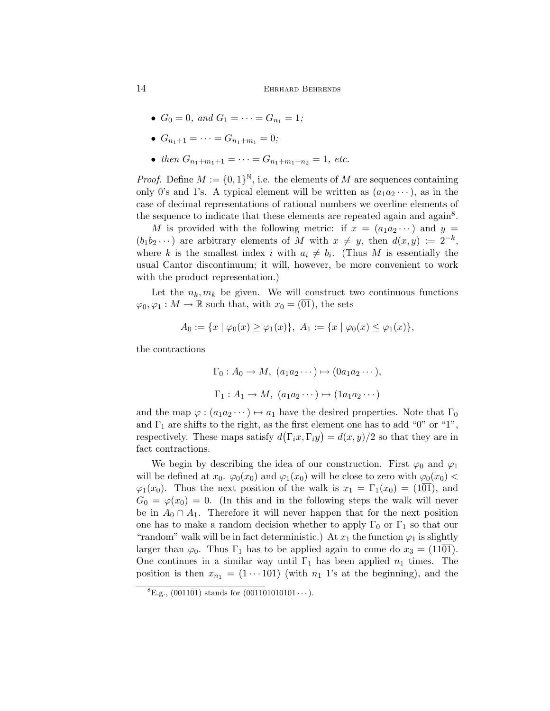- $G_0 = 0$ , and  $G_1 = \cdots = G_{n_1} = 1$ ;
- $G_{n_1+1} = \cdots = G_{n_1+m_1} = 0;$
- then  $G_{n_1+m_1+1} = \cdots = G_{n_1+m_1+n_2} = 1$ , etc.

*Proof.* Define  $M := \{0,1\}^{\mathbb{N}},$  i.e. the elements of M are sequences containing only 0's and 1's. A typical element will be written as  $(a_1a_2\cdots)$ , as in the case of decimal representations of rational numbers we overline elements of the sequence to indicate that these elements are repeated again and again<sup>8</sup>.

M is provided with the following metric: if  $x = (a_1 a_2 \cdots)$  and  $y =$  $(b_1b_2\cdots)$  are arbitrary elements of M with  $x \neq y$ , then  $d(x,y) := 2^{-k}$ , where k is the smallest index i with  $a_i \neq b_i$ . (Thus M is essentially the usual Cantor discontinuum; it will, however, be more convenient to work with the product representation.)

Let the  $n_k, m_k$  be given. We will construct two continuous functions  $\varphi_0, \varphi_1 : M \to \mathbb{R}$  such that, with  $x_0 = (01)$ , the sets

$$
A_0 := \{x \mid \varphi_0(x) \ge \varphi_1(x)\}, \ A_1 := \{x \mid \varphi_0(x) \le \varphi_1(x)\},
$$

the contractions

$$
\Gamma_0: A_0 \to M, (a_1 a_2 \cdots) \mapsto (0 a_1 a_2 \cdots),
$$
  

$$
\Gamma_1: A_1 \to M, (a_1 a_2 \cdots) \mapsto (1 a_1 a_2 \cdots)
$$

and the map  $\varphi : (a_1 a_2 \cdots) \mapsto a_1$  have the desired properties. Note that  $\Gamma_0$ and  $\Gamma_1$  are shifts to the right, as the first element one has to add "0" or "1", respectively. These maps satisfy  $d(\Gamma_i x, \Gamma_i y) = d(x, y)/2$  so that they are in fact contractions.

We begin by describing the idea of our construction. First  $\varphi_0$  and  $\varphi_1$ will be defined at  $x_0$ .  $\varphi_0(x_0)$  and  $\varphi_1(x_0)$  will be close to zero with  $\varphi_0(x_0)$  <  $\varphi_1(x_0)$ . Thus the next position of the walk is  $x_1 = \Gamma_1(x_0) = (101)$ , and  $G_0 = \varphi(x_0) = 0$ . (In this and in the following steps the walk will never be in  $A_0 \cap A_1$ . Therefore it will never happen that for the next position one has to make a random decision whether to apply  $\Gamma_0$  or  $\Gamma_1$  so that our "random" walk will be in fact deterministic.) At  $x_1$  the function  $\varphi_1$  is slightly larger than  $\varphi_0$ . Thus  $\Gamma_1$  has to be applied again to come do  $x_3 = (11\overline{01})$ . One continues in a similar way until  $\Gamma_1$  has been applied  $n_1$  times. The position is then  $x_{n_1} = (1 \cdots 1)$  (with  $n_1$  1's at the beginning), and the

 ${}^{8}E.g., (0011\overline{01})$  stands for  $(001101010101 \cdots)$ .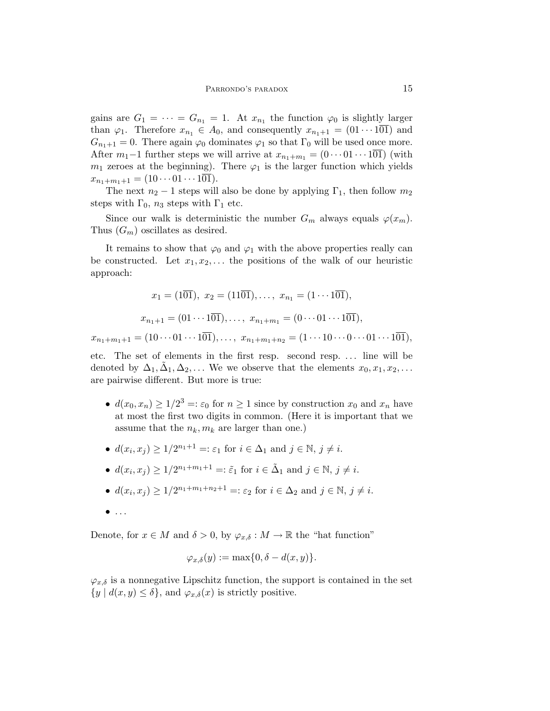gains are  $G_1 = \cdots = G_{n_1} = 1$ . At  $x_{n_1}$  the function  $\varphi_0$  is slightly larger than  $\varphi_1$ . Therefore  $x_{n_1} \in A_0$ , and consequently  $x_{n_1+1} = (01 \cdots 101)$  and  $G_{n_1+1} = 0$ . There again  $\varphi_0$  dominates  $\varphi_1$  so that  $\Gamma_0$  will be used once more. After  $m_1-1$  further steps we will arrive at  $x_{n_1+m_1} = (0 \cdots 01 \cdots 101)$  (with  $m_1$  zeroes at the beginning). There  $\varphi_1$  is the larger function which yields  $x_{n_1+m_1+1} = (10 \cdots 01 \cdots 101).$ 

The next  $n_2 - 1$  steps will also be done by applying  $\Gamma_1$ , then follow  $m_2$ steps with  $\Gamma_0$ ,  $n_3$  steps with  $\Gamma_1$  etc.

Since our walk is deterministic the number  $G_m$  always equals  $\varphi(x_m)$ . Thus  $(G_m)$  oscillates as desired.

It remains to show that  $\varphi_0$  and  $\varphi_1$  with the above properties really can be constructed. Let  $x_1, x_2, \ldots$  the positions of the walk of our heuristic approach:

$$
x_1 = (10\overline{1}), x_2 = (11\overline{01}), \ldots, x_{n_1} = (1 \cdots 1\overline{01}),
$$
  
 $x_{n_1+1} = (01 \cdots 1\overline{01}), \ldots, x_{n_1+m_1} = (0 \cdots 01 \cdots 1\overline{01}),$ 

 $x_{n_1+m_1+1} = (10 \cdots 01 \cdots 101), \ldots, x_{n_1+m_1+n_2} = (1 \cdots 10 \cdots 0 \cdots 01 \cdots 101),$ 

etc. The set of elements in the first resp. second resp. . . . line will be denoted by  $\Delta_1, \tilde{\Delta}_1, \Delta_2, \ldots$  We we observe that the elements  $x_0, x_1, x_2, \ldots$ are pairwise different. But more is true:

- $d(x_0, x_n) \geq 1/2^3 =: \varepsilon_0$  for  $n \geq 1$  since by construction  $x_0$  and  $x_n$  have at most the first two digits in common. (Here it is important that we assume that the  $n_k, m_k$  are larger than one.)
- $d(x_i, x_j) \geq 1/2^{n_1+1} =: \varepsilon_1$  for  $i \in \Delta_1$  and  $j \in \mathbb{N}, j \neq i$ .
- $d(x_i, x_j) \geq 1/2^{n_1+m_1+1} =: \tilde{\varepsilon}_1$  for  $i \in \tilde{\Delta}_1$  and  $j \in \mathbb{N}, j \neq i$ .
- $d(x_i, x_j) \geq 1/2^{n_1+m_1+n_2+1} =: \varepsilon_2$  for  $i \in \Delta_2$  and  $j \in \mathbb{N}, j \neq i$ .
- $\bullet$  ...

Denote, for  $x \in M$  and  $\delta > 0$ , by  $\varphi_{x,\delta}: M \to \mathbb{R}$  the "hat function"

$$
\varphi_{x,\delta}(y) := \max\{0,\delta - d(x,y)\}.
$$

 $\varphi_{x,\delta}$  is a nonnegative Lipschitz function, the support is contained in the set  $\{y \mid d(x,y) \leq \delta\}$ , and  $\varphi_{x,\delta}(x)$  is strictly positive.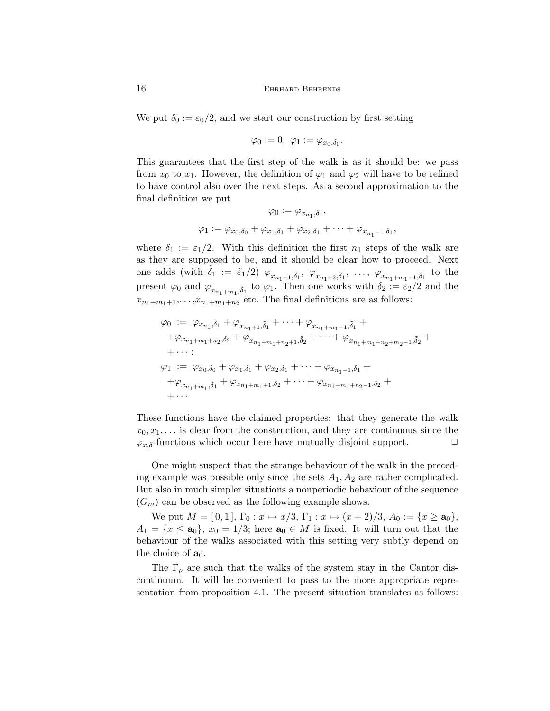We put  $\delta_0 := \epsilon_0/2$ , and we start our construction by first setting

$$
\varphi_0:=0, \ \varphi_1:=\varphi_{x_0,\delta_0}.
$$

This guarantees that the first step of the walk is as it should be: we pass from  $x_0$  to  $x_1$ . However, the definition of  $\varphi_1$  and  $\varphi_2$  will have to be refined to have control also over the next steps. As a second approximation to the final definition we put

$$
\varphi_0 := \varphi_{x_{n_1},\delta_1},
$$
  

$$
\varphi_1 := \varphi_{x_0,\delta_0} + \varphi_{x_1,\delta_1} + \varphi_{x_2,\delta_1} + \dots + \varphi_{x_{n_1-1},\delta_1},
$$

where  $\delta_1 := \varepsilon_1/2$ . With this definition the first  $n_1$  steps of the walk are as they are supposed to be, and it should be clear how to proceed. Next one adds (with  $\tilde{\delta}_1 := \tilde{\varepsilon}_1/2$ )  $\varphi_{x_{n_1+1},\tilde{\delta}_1}$ ,  $\varphi_{x_{n_1+2},\tilde{\delta}_1}$ , ...,  $\varphi_{x_{n_1+m_1-1},\tilde{\delta}_1}$  to the present  $\varphi_0$  and  $\varphi_{x_{n_1+m_1},\tilde{\delta}_1}$  to  $\varphi_1$ . Then one works with  $\delta_2 := \varepsilon_2/2$  and the  $x_{n_1+m_1+1}, \ldots, x_{n_1+m_1+n_2}$  etc. The final definitions are as follows:

$$
\varphi_0 := \varphi_{x_{n_1},\delta_1} + \varphi_{x_{n_1+1},\tilde{\delta}_1} + \cdots + \varphi_{x_{n_1+m_1-1},\tilde{\delta}_1} +
$$
  
\n
$$
+ \varphi_{x_{n_1+m_1+n_2},\delta_2} + \varphi_{x_{n_1+m_1+n_2+1},\tilde{\delta}_2} + \cdots + \varphi_{x_{n_1+m_1+n_2+m_2-1},\tilde{\delta}_2} +
$$
  
\n
$$
\vdots
$$
  
\n
$$
\varphi_1 := \varphi_{x_0,\delta_0} + \varphi_{x_1,\delta_1} + \varphi_{x_2,\delta_1} + \cdots + \varphi_{x_{n_1-1},\delta_1} +
$$
  
\n
$$
+ \varphi_{x_{n_1+m_1},\tilde{\delta}_1} + \varphi_{x_{n_1+m_1+1},\delta_2} + \cdots + \varphi_{x_{n_1+m_1+n_2-1},\delta_2} +
$$
  
\n
$$
+ \cdots
$$

These functions have the claimed properties: that they generate the walk  $x_0, x_1, \ldots$  is clear from the construction, and they are continuous since the  $\varphi_{x,\delta}$ -functions which occur here have mutually disjoint support.  $\Box$ 

One might suspect that the strange behaviour of the walk in the preceding example was possible only since the sets  $A_1, A_2$  are rather complicated. But also in much simpler situations a nonperiodic behaviour of the sequence  $(G_m)$  can be observed as the following example shows.

We put  $M = [0, 1], \Gamma_0: x \mapsto x/3, \Gamma_1: x \mapsto (x + 2)/3, A_0 := \{x \ge a_0\},\$  $A_1 = \{x \le a_0\}, x_0 = 1/3$ ; here  $a_0 \in M$  is fixed. It will turn out that the behaviour of the walks associated with this setting very subtly depend on the choice of  $\mathbf{a}_0$ .

The  $\Gamma_{\rho}$  are such that the walks of the system stay in the Cantor discontinuum. It will be convenient to pass to the more appropriate representation from proposition 4.1. The present situation translates as follows: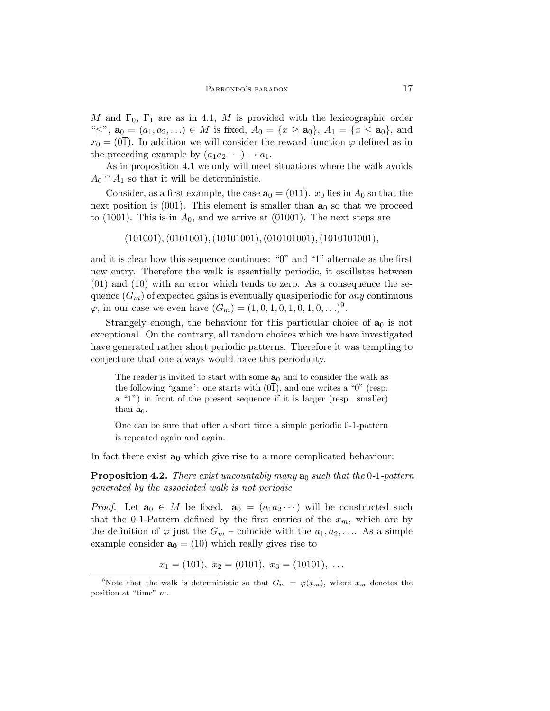M and  $\Gamma_0$ ,  $\Gamma_1$  are as in 4.1, M is provided with the lexicographic order " $\leq$ ",  $\mathbf{a}_0 = (a_1, a_2, \ldots) \in M$  is fixed,  $A_0 = \{x \geq \mathbf{a}_0\}$ ,  $A_1 = \{x \leq \mathbf{a}_0\}$ , and  $x_0 = (0\bar{1})$ . In addition we will consider the reward function  $\varphi$  defined as in the preceding example by  $(a_1 a_2 \cdots) \mapsto a_1$ .

As in proposition 4.1 we only will meet situations where the walk avoids  $A_0 \cap A_1$  so that it will be deterministic.

Consider, as a first example, the case  $\mathbf{a}_0 = (\overline{011})$ .  $x_0$  lies in  $A_0$  so that the next position is  $(001)$ . This element is smaller than  $a_0$  so that we proceed to (1001). This is in  $A_0$ , and we arrive at (01001). The next steps are

 $(10100\overline{1}), (010100\overline{1}), (1010100\overline{1}), (01010100\overline{1}), (101010100\overline{1}),$ 

and it is clear how this sequence continues: "0" and "1" alternate as the first new entry. Therefore the walk is essentially periodic, it oscillates between (01) and (10) with an error which tends to zero. As a consequence the sequence  $(G_m)$  of expected gains is eventually quasiperiodic for any continuous  $\varphi$ , in our case we even have  $(G_m) = (1, 0, 1, 0, 1, 0, 1, 0, \ldots)^9$ .

Strangely enough, the behaviour for this particular choice of  $a_0$  is not exceptional. On the contrary, all random choices which we have investigated have generated rather short periodic patterns. Therefore it was tempting to conjecture that one always would have this periodicity.

The reader is invited to start with some  $a_0$  and to consider the walk as the following "game": one starts with  $(0\bar{1})$ , and one writes a "0" (resp. a "1") in front of the present sequence if it is larger (resp. smaller) than  $a_0$ .

One can be sure that after a short time a simple periodic 0-1-pattern is repeated again and again.

In fact there exist  $a_0$  which give rise to a more complicated behaviour:

**Proposition 4.2.** There exist uncountably many  $a_0$  such that the 0-1-pattern generated by the associated walk is not periodic

*Proof.* Let  $\mathbf{a}_0 \in M$  be fixed.  $\mathbf{a}_0 = (a_1 a_2 \cdots)$  will be constructed such that the 0-1-Pattern defined by the first entries of the  $x_m$ , which are by the definition of  $\varphi$  just the  $G_m$  – coincide with the  $a_1, a_2, \ldots$  As a simple example consider  $\mathbf{a}_0 = (\overline{10})$  which really gives rise to

 $x_1 = (10\overline{1}), x_2 = (010\overline{1}), x_3 = (1010\overline{1}), \dots$ 

<sup>&</sup>lt;sup>9</sup>Note that the walk is deterministic so that  $G_m = \varphi(x_m)$ , where  $x_m$  denotes the position at "time" m.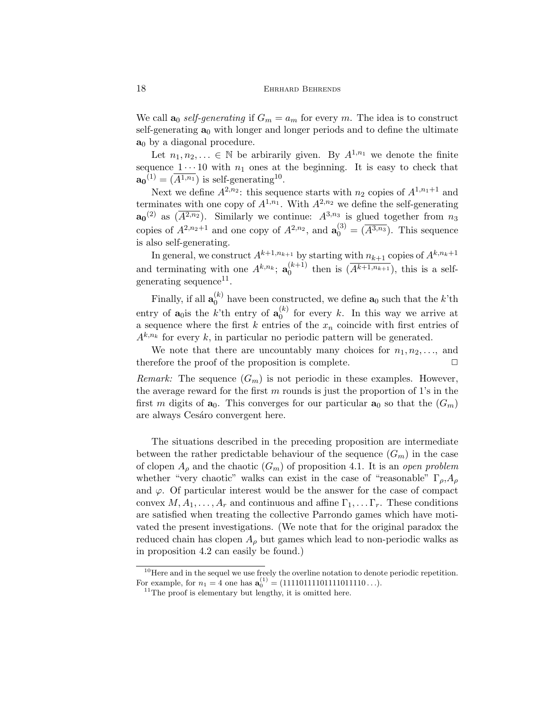We call  $\mathbf{a}_0$  self-generating if  $G_m = a_m$  for every m. The idea is to construct self-generating  $a_0$  with longer and longer periods and to define the ultimate  $a_0$  by a diagonal procedure.

Let  $n_1, n_2, \ldots \in \mathbb{N}$  be arbirarily given. By  $A^{1,n_1}$  we denote the finite sequence  $1 \cdots 10$  with  $n_1$  ones at the beginning. It is easy to check that  $\mathbf{a_0}^{(1)} = (\overline{A^{1,n_1}})$  is self-generating<sup>10</sup>.

Next we define  $A^{2,n_2}$ : this sequence starts with  $n_2$  copies of  $A^{1,n_1+1}$  and terminates with one copy of  $A^{1,n_1}$ . With  $A^{2,n_2}$  we define the self-generating  $\mathbf{a_0}^{(2)}$  as  $(\overline{A^{2,n_2}})$ . Similarly we continue:  $A^{3,n_3}$  is glued together from  $n_3$ copies of  $A^{2,n_2+1}$  and one copy of  $A^{2,n_2}$ , and  $\mathbf{a}_0^{(3)} = (\overline{A^{3,n_3}})$ . This sequence is also self-generating.

In general, we construct  $A^{k+1,n_{k+1}}$  by starting with  $n_{k+1}$  copies of  $A^{k,n_k+1}$ and terminating with one  $A^{k,n_k}$ ;  $\mathbf{a}_0^{(k+1)}$  $\binom{k+1}{0}$  then is  $(A^{k+1,n_{k+1}})$ , this is a selfgenerating sequence<sup>11</sup>.

Finally, if all  $\mathbf{a}_0^{(k)}$  $\binom{k}{0}$  have been constructed, we define  $\mathbf{a}_0$  such that the k'th entry of  $a_0$  is the k'th entry of  $a_0^{(k)}$  $\binom{k}{0}$  for every k. In this way we arrive at a sequence where the first k entries of the  $x_n$  coincide with first entries of  $A^{k,n_k}$  for every k, in particular no periodic pattern will be generated.

We note that there are uncountably many choices for  $n_1, n_2, \ldots$ , and therefore the proof of the proposition is complete.  $\Box$ 

Remark: The sequence  $(G_m)$  is not periodic in these examples. However, the average reward for the first  $m$  rounds is just the proportion of 1's in the first m digits of  $a_0$ . This converges for our particular  $a_0$  so that the  $(G_m)$ are always Cesáro convergent here.

The situations described in the preceding proposition are intermediate between the rather predictable behaviour of the sequence  $(G_m)$  in the case of clopen  $A_{\rho}$  and the chaotic  $(G_{m})$  of proposition 4.1. It is an open problem whether "very chaotic" walks can exist in the case of "reasonable"  $\Gamma_{\rho}, A_{\rho}$ and  $\varphi$ . Of particular interest would be the answer for the case of compact convex  $M, A_1, \ldots, A_r$  and continuous and affine  $\Gamma_1, \ldots, \Gamma_r$ . These conditions are satisfied when treating the collective Parrondo games which have motivated the present investigations. (We note that for the original paradox the reduced chain has clopen  $A_{\rho}$  but games which lead to non-periodic walks as in proposition 4.2 can easily be found.)

<sup>&</sup>lt;sup>10</sup>Here and in the sequel we use freely the overline notation to denote periodic repetition. For example, for  $n_1 = 4$  one has  $\mathbf{a}_0^{(1)} = (11110111101111011110...)$ .

 $11$ The proof is elementary but lengthy, it is omitted here.